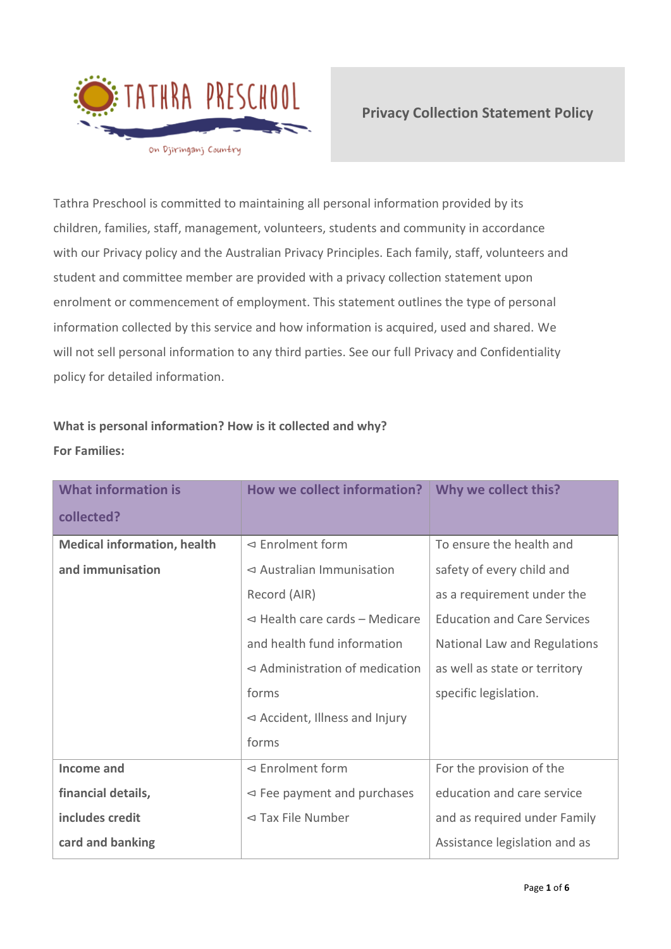

Tathra Preschool is committed to maintaining all personal information provided by its children, families, staff, management, volunteers, students and community in accordance with our Privacy policy and the Australian Privacy Principles. Each family, staff, volunteers and student and committee member are provided with a privacy collection statement upon enrolment or commencement of employment. This statement outlines the type of personal information collected by this service and how information is acquired, used and shared. We will not sell personal information to any third parties. See our full Privacy and Confidentiality policy for detailed information.

# **What is personal information? How is it collected and why? For Families:**

| <b>What information is</b>         | <b>How we collect information?</b>           | Why we collect this?               |
|------------------------------------|----------------------------------------------|------------------------------------|
| collected?                         |                                              |                                    |
| <b>Medical information, health</b> | $\triangleleft$ Enrolment form               | To ensure the health and           |
| and immunisation                   | $\triangleleft$ Australian Immunisation      | safety of every child and          |
|                                    | Record (AIR)                                 | as a requirement under the         |
|                                    | $\triangleleft$ Health care cards - Medicare | <b>Education and Care Services</b> |
|                                    | and health fund information                  | National Law and Regulations       |
|                                    | $\triangleleft$ Administration of medication | as well as state or territory      |
|                                    | forms                                        | specific legislation.              |
|                                    | $\triangleleft$ Accident, Illness and Injury |                                    |
|                                    | forms                                        |                                    |
| Income and                         | $\leq$ Enrolment form                        | For the provision of the           |
| financial details,                 | $\leq$ Fee payment and purchases             | education and care service         |
| includes credit                    | $\triangleleft$ Tax File Number              | and as required under Family       |
| card and banking                   |                                              | Assistance legislation and as      |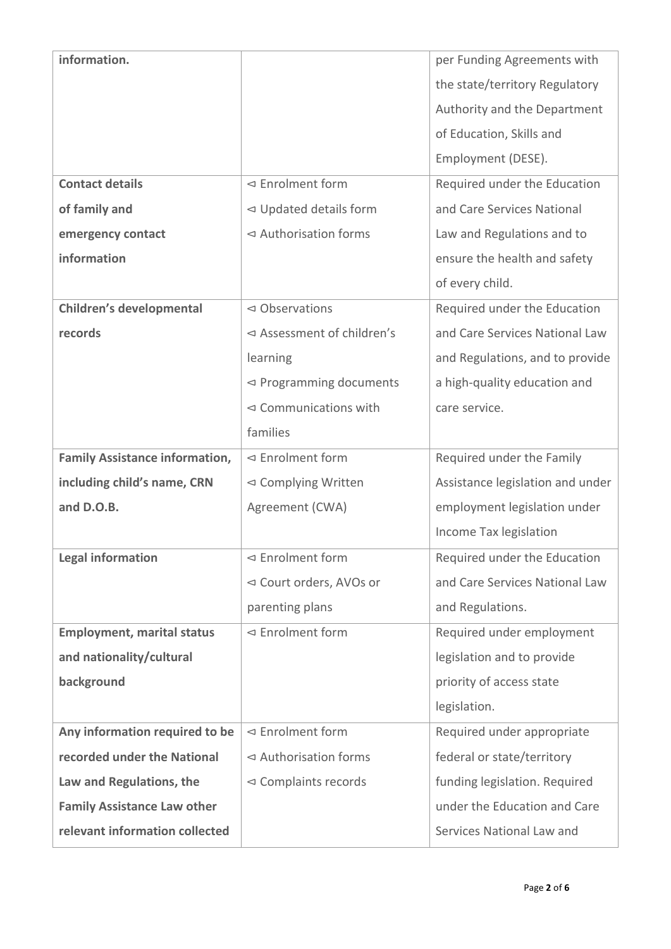| information.                          |                                       | per Funding Agreements with      |
|---------------------------------------|---------------------------------------|----------------------------------|
|                                       |                                       | the state/territory Regulatory   |
|                                       |                                       | Authority and the Department     |
|                                       |                                       | of Education, Skills and         |
|                                       |                                       | Employment (DESE).               |
| <b>Contact details</b>                | ⊲ Enrolment form                      | Required under the Education     |
| of family and                         | $\triangleleft$ Updated details form  | and Care Services National       |
| emergency contact                     | ⊲ Authorisation forms                 | Law and Regulations and to       |
| information                           |                                       | ensure the health and safety     |
|                                       |                                       | of every child.                  |
| Children's developmental              | $\triangleleft$ Observations          | Required under the Education     |
| records                               | ⊲ Assessment of children's            | and Care Services National Law   |
|                                       | learning                              | and Regulations, and to provide  |
|                                       | $\triangleleft$ Programming documents | a high-quality education and     |
|                                       | $\triangleleft$ Communications with   | care service.                    |
|                                       | families                              |                                  |
|                                       |                                       |                                  |
| <b>Family Assistance information,</b> | $\triangleleft$ Enrolment form        | Required under the Family        |
| including child's name, CRN           | ⊲ Complying Written                   | Assistance legislation and under |
| and D.O.B.                            | Agreement (CWA)                       | employment legislation under     |
|                                       |                                       | Income Tax legislation           |
| <b>Legal information</b>              | ⊲ Enrolment form                      | Required under the Education     |
|                                       | ⊲ Court orders, AVOs or               | and Care Services National Law   |
|                                       | parenting plans                       | and Regulations.                 |
| <b>Employment, marital status</b>     | $\triangleleft$ Enrolment form        | Required under employment        |
| and nationality/cultural              |                                       | legislation and to provide       |
| background                            |                                       | priority of access state         |
|                                       |                                       | legislation.                     |
| Any information required to be        | $\leq$ Enrolment form                 | Required under appropriate       |
| recorded under the National           | $\triangleleft$ Authorisation forms   | federal or state/territory       |
| Law and Regulations, the              | $\triangleleft$ Complaints records    | funding legislation. Required    |
| <b>Family Assistance Law other</b>    |                                       | under the Education and Care     |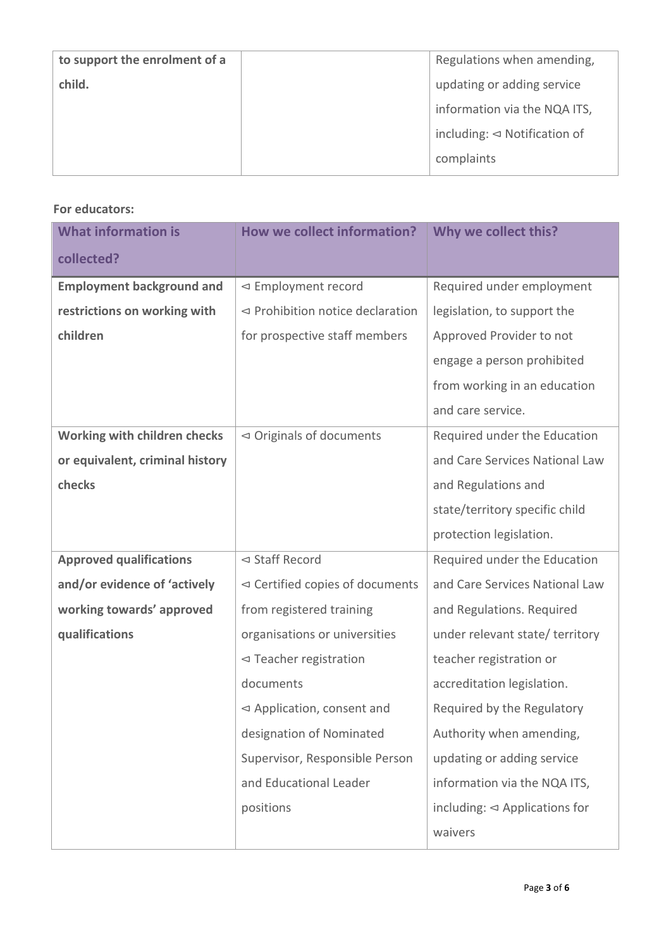| to support the enrolment of a | Regulations when amending,                 |
|-------------------------------|--------------------------------------------|
| child.                        | updating or adding service                 |
|                               | information via the NQA ITS,               |
|                               | including: $\triangleleft$ Notification of |
|                               | complaints                                 |

# **For educators:**

| <b>What information is</b>       | <b>How we collect information?</b>             | Why we collect this?                        |
|----------------------------------|------------------------------------------------|---------------------------------------------|
| collected?                       |                                                |                                             |
| <b>Employment background and</b> | ⊲ Employment record                            | Required under employment                   |
| restrictions on working with     | $\triangleleft$ Prohibition notice declaration | legislation, to support the                 |
| children                         | for prospective staff members                  | Approved Provider to not                    |
|                                  |                                                | engage a person prohibited                  |
|                                  |                                                | from working in an education                |
|                                  |                                                | and care service.                           |
| Working with children checks     | $\triangleleft$ Originals of documents         | Required under the Education                |
| or equivalent, criminal history  |                                                | and Care Services National Law              |
| checks                           |                                                | and Regulations and                         |
|                                  |                                                | state/territory specific child              |
|                                  |                                                | protection legislation.                     |
| <b>Approved qualifications</b>   | ⊲ Staff Record                                 | Required under the Education                |
| and/or evidence of 'actively     | $\triangleleft$ Certified copies of documents  | and Care Services National Law              |
| working towards' approved        | from registered training                       | and Regulations. Required                   |
| qualifications                   | organisations or universities                  | under relevant state/ territory             |
|                                  | $\triangleleft$ Teacher registration           | teacher registration or                     |
|                                  | documents                                      | accreditation legislation.                  |
|                                  | $\triangleleft$ Application, consent and       | Required by the Regulatory                  |
|                                  | designation of Nominated                       | Authority when amending,                    |
|                                  | Supervisor, Responsible Person                 | updating or adding service                  |
|                                  | and Educational Leader                         | information via the NQA ITS,                |
|                                  | positions                                      | including: $\triangleleft$ Applications for |
|                                  |                                                | waivers                                     |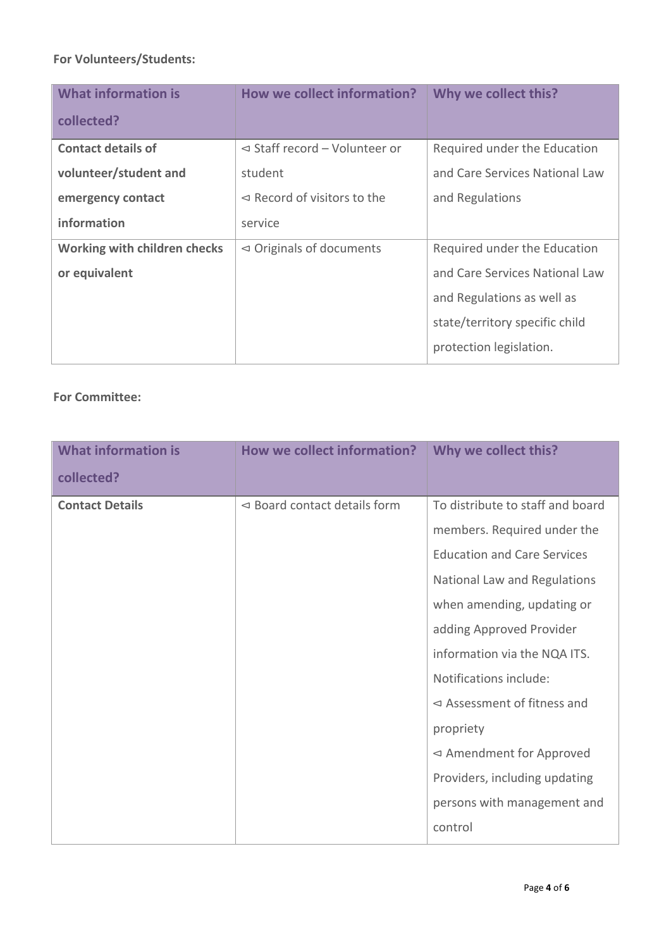# **For Volunteers/Students:**

| <b>What information is</b>   | <b>How we collect information?</b>          | Why we collect this?           |
|------------------------------|---------------------------------------------|--------------------------------|
| collected?                   |                                             |                                |
| <b>Contact details of</b>    | $\triangleleft$ Staff record - Volunteer or | Required under the Education   |
| volunteer/student and        | student                                     | and Care Services National Law |
| emergency contact            | $\triangleleft$ Record of visitors to the   | and Regulations                |
| information                  | service                                     |                                |
| Working with children checks | $\triangleleft$ Originals of documents      | Required under the Education   |
| or equivalent                |                                             | and Care Services National Law |
|                              |                                             | and Regulations as well as     |
|                              |                                             | state/territory specific child |
|                              |                                             | protection legislation.        |

# **For Committee:**

| <b>What information is</b> | How we collect information?                | Why we collect this?                      |
|----------------------------|--------------------------------------------|-------------------------------------------|
| collected?                 |                                            |                                           |
| <b>Contact Details</b>     | $\triangleleft$ Board contact details form | To distribute to staff and board          |
|                            |                                            | members. Required under the               |
|                            |                                            | <b>Education and Care Services</b>        |
|                            |                                            | National Law and Regulations              |
|                            |                                            | when amending, updating or                |
|                            |                                            | adding Approved Provider                  |
|                            |                                            | information via the NQA ITS.              |
|                            |                                            | Notifications include:                    |
|                            |                                            | $\triangleleft$ Assessment of fitness and |
|                            |                                            | propriety                                 |
|                            |                                            | $\triangleleft$ Amendment for Approved    |
|                            |                                            | Providers, including updating             |
|                            |                                            | persons with management and               |
|                            |                                            | control                                   |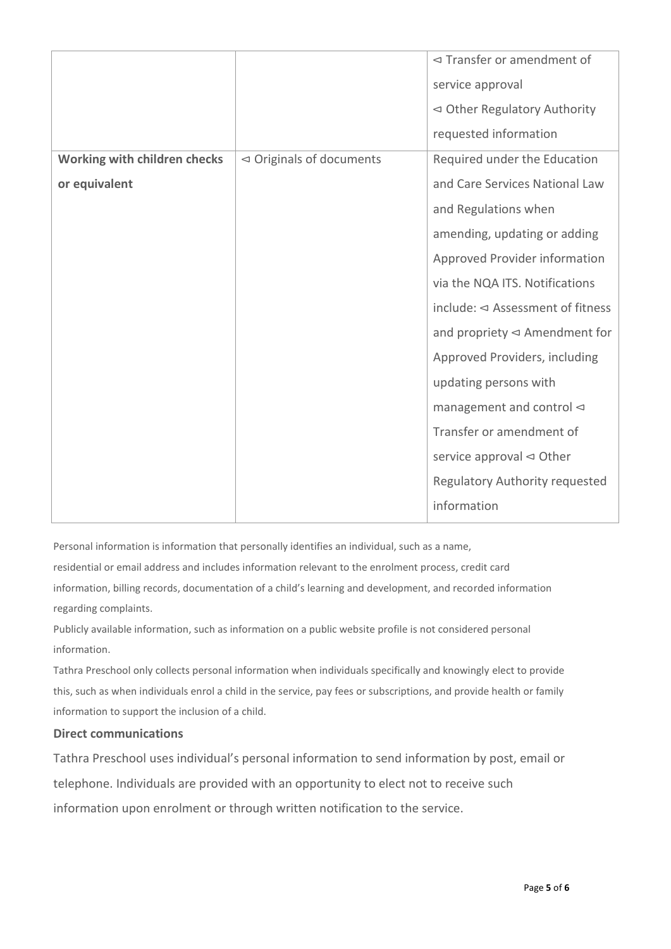|                              |                                        | $\triangleleft$ Transfer or amendment of       |
|------------------------------|----------------------------------------|------------------------------------------------|
|                              |                                        | service approval                               |
|                              |                                        | $\triangleleft$ Other Regulatory Authority     |
|                              |                                        | requested information                          |
| Working with children checks | $\triangleleft$ Originals of documents | Required under the Education                   |
| or equivalent                |                                        | and Care Services National Law                 |
|                              |                                        | and Regulations when                           |
|                              |                                        | amending, updating or adding                   |
|                              |                                        | Approved Provider information                  |
|                              |                                        | via the NQA ITS. Notifications                 |
|                              |                                        | include: $\triangleleft$ Assessment of fitness |
|                              |                                        | and propriety $\triangleleft$ Amendment for    |
|                              |                                        | Approved Providers, including                  |
|                              |                                        | updating persons with                          |
|                              |                                        | management and control $\lhd$                  |
|                              |                                        | Transfer or amendment of                       |
|                              |                                        | service approval $\triangleleft$ Other         |
|                              |                                        | <b>Regulatory Authority requested</b>          |
|                              |                                        | information                                    |
|                              |                                        |                                                |

Personal information is information that personally identifies an individual, such as a name,

residential or email address and includes information relevant to the enrolment process, credit card information, billing records, documentation of a child's learning and development, and recorded information regarding complaints.

Publicly available information, such as information on a public website profile is not considered personal information.

Tathra Preschool only collects personal information when individuals specifically and knowingly elect to provide this, such as when individuals enrol a child in the service, pay fees or subscriptions, and provide health or family information to support the inclusion of a child.

#### **Direct communications**

Tathra Preschool uses individual's personal information to send information by post, email or telephone. Individuals are provided with an opportunity to elect not to receive such information upon enrolment or through written notification to the service.